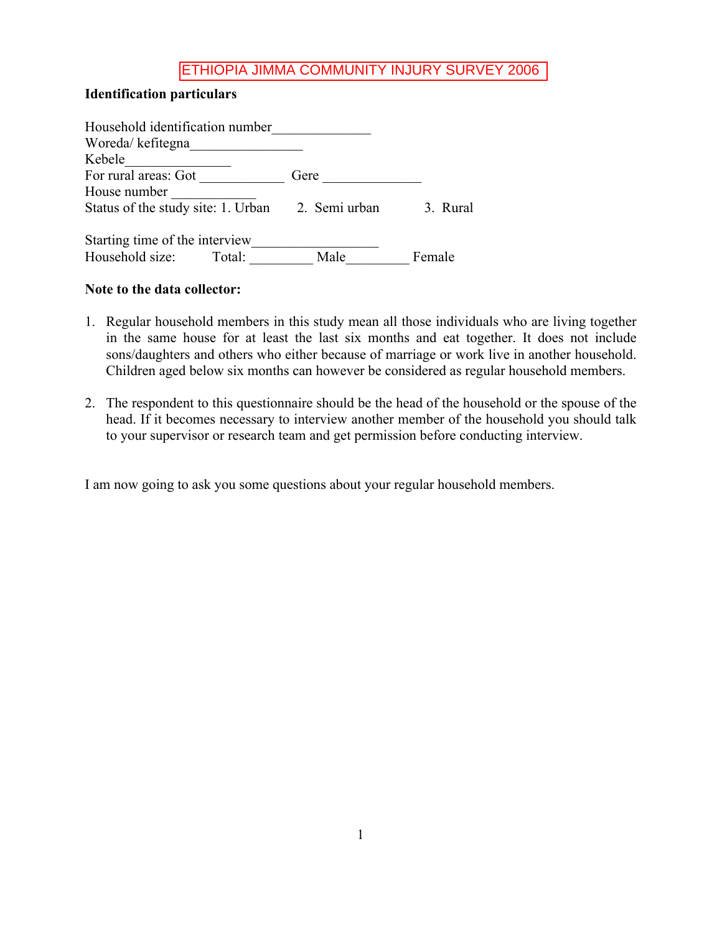### **Identification particulars**

| Household identification number    |        |               |          |
|------------------------------------|--------|---------------|----------|
| Woreda/kefitegna                   |        |               |          |
| Kebele                             |        |               |          |
| For rural areas: Got               |        | Gere          |          |
| House number                       |        |               |          |
| Status of the study site: 1. Urban |        | 2. Semi urban | 3. Rural |
| Starting time of the interview     |        |               |          |
| Household size:                    | Total: | Male          | Female   |

#### **Note to the data collector:**

- 1. Regular household members in this study mean all those individuals who are living together in the same house for at least the last six months and eat together. It does not include sons/daughters and others who either because of marriage or work live in another household. Children aged below six months can however be considered as regular household members.
- 2. The respondent to this questionnaire should be the head of the household or the spouse of the head. If it becomes necessary to interview another member of the household you should talk to your supervisor or research team and get permission before conducting interview.

I am now going to ask you some questions about your regular household members.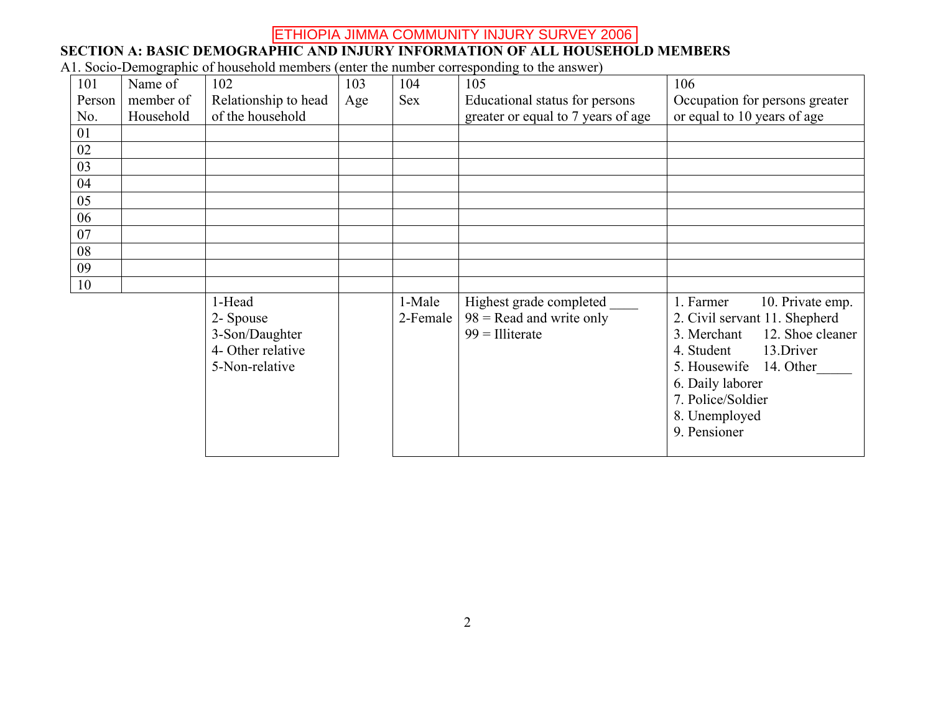#### **SECTION A: BASIC DEMOGRAPHIC AND INJURY INFORMATION OF ALL HOUSEHOLD MEMBERS**

A1. Socio-Demographic of household members (enter the number corresponding to the answer)

| 101    | Name of   | 102                                                                          | 103 | 104                | 105                                                                         | 106                                                                                                                                                                                                                                 |
|--------|-----------|------------------------------------------------------------------------------|-----|--------------------|-----------------------------------------------------------------------------|-------------------------------------------------------------------------------------------------------------------------------------------------------------------------------------------------------------------------------------|
| Person | member of | Relationship to head                                                         | Age | <b>Sex</b>         | Educational status for persons                                              | Occupation for persons greater                                                                                                                                                                                                      |
| No.    | Household | of the household                                                             |     |                    | greater or equal to 7 years of age                                          | or equal to 10 years of age                                                                                                                                                                                                         |
| 01     |           |                                                                              |     |                    |                                                                             |                                                                                                                                                                                                                                     |
| 02     |           |                                                                              |     |                    |                                                                             |                                                                                                                                                                                                                                     |
| 03     |           |                                                                              |     |                    |                                                                             |                                                                                                                                                                                                                                     |
| 04     |           |                                                                              |     |                    |                                                                             |                                                                                                                                                                                                                                     |
| 05     |           |                                                                              |     |                    |                                                                             |                                                                                                                                                                                                                                     |
| 06     |           |                                                                              |     |                    |                                                                             |                                                                                                                                                                                                                                     |
| 07     |           |                                                                              |     |                    |                                                                             |                                                                                                                                                                                                                                     |
| 08     |           |                                                                              |     |                    |                                                                             |                                                                                                                                                                                                                                     |
| 09     |           |                                                                              |     |                    |                                                                             |                                                                                                                                                                                                                                     |
| 10     |           |                                                                              |     |                    |                                                                             |                                                                                                                                                                                                                                     |
|        |           | 1-Head<br>2- Spouse<br>3-Son/Daughter<br>4- Other relative<br>5-Non-relative |     | 1-Male<br>2-Female | Highest grade completed<br>$98$ = Read and write only<br>$99 = 1$ lliterate | 1. Farmer<br>10. Private emp.<br>2. Civil servant 11. Shepherd<br>12. Shoe cleaner<br>3. Merchant<br>4. Student<br>13.Driver<br>5. Housewife<br>14. Other<br>6. Daily laborer<br>7. Police/Soldier<br>8. Unemployed<br>9. Pensioner |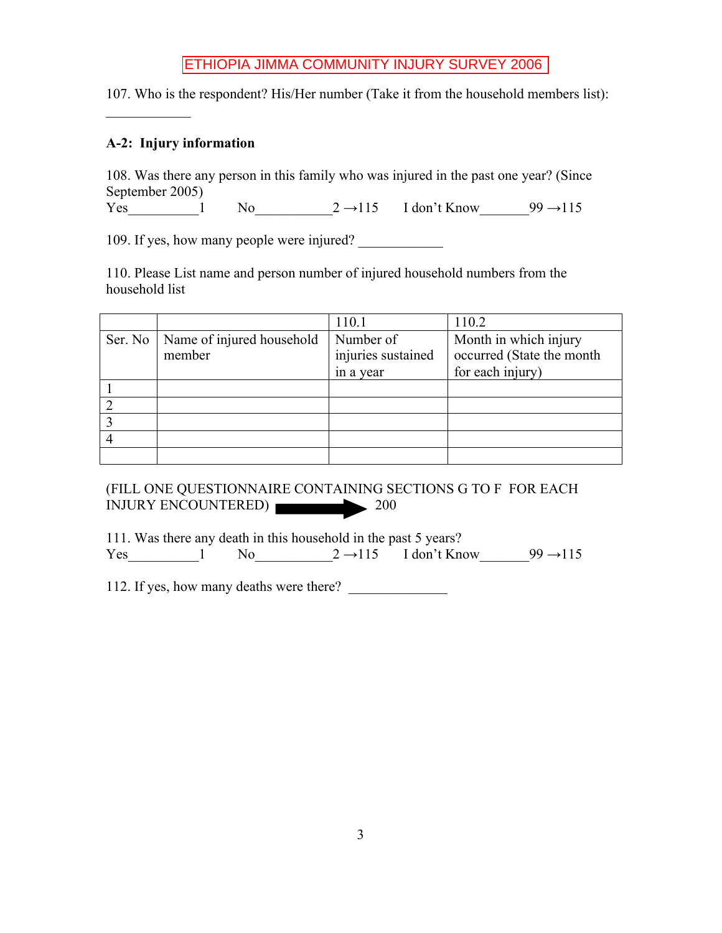107. Who is the respondent? His/Her number (Take it from the household members list):

### **A-2: Injury information**

 $\frac{1}{2}$ 

108. Was there any person in this family who was injured in the past one year? (Since September 2005) Yes 1 No  $2 \rightarrow 115$  I don't Know  $99 \rightarrow 115$ 

109. If yes, how many people were injured?

110. Please List name and person number of injured household numbers from the household list

|         |                           | 110.1              | 110.2                     |
|---------|---------------------------|--------------------|---------------------------|
| Ser. No | Name of injured household | Number of          | Month in which injury     |
|         | member                    | injuries sustained | occurred (State the month |
|         |                           | in a year          | for each injury)          |
|         |                           |                    |                           |
|         |                           |                    |                           |
|         |                           |                    |                           |
|         |                           |                    |                           |
|         |                           |                    |                           |

(FILL ONE QUESTIONNAIRE CONTAINING SECTIONS G TO F FOR EACH INJURY ENCOUNTERED) 200

111. Was there any death in this household in the past 5 years? Yes 1  $\log 2 \rightarrow 115$  I don't Know 99  $\rightarrow 115$ 

112. If yes, how many deaths were there?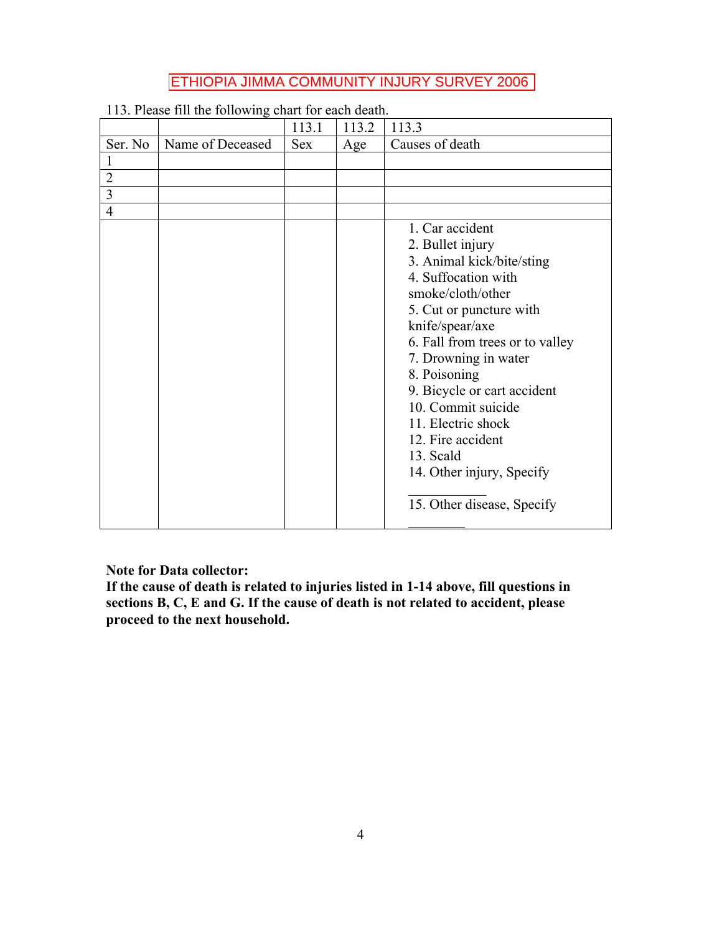|                |                  | 113.1      | 113.2 | 113.3                           |
|----------------|------------------|------------|-------|---------------------------------|
| Ser. No        | Name of Deceased | <b>Sex</b> | Age   | Causes of death                 |
|                |                  |            |       |                                 |
| $\overline{2}$ |                  |            |       |                                 |
| $\overline{3}$ |                  |            |       |                                 |
| $\overline{4}$ |                  |            |       |                                 |
|                |                  |            |       | 1. Car accident                 |
|                |                  |            |       | 2. Bullet injury                |
|                |                  |            |       | 3. Animal kick/bite/sting       |
|                |                  |            |       | 4. Suffocation with             |
|                |                  |            |       | smoke/cloth/other               |
|                |                  |            |       | 5. Cut or puncture with         |
|                |                  |            |       | knife/spear/axe                 |
|                |                  |            |       | 6. Fall from trees or to valley |
|                |                  |            |       | 7. Drowning in water            |
|                |                  |            |       | 8. Poisoning                    |
|                |                  |            |       | 9. Bicycle or cart accident     |
|                |                  |            |       | 10. Commit suicide              |
|                |                  |            |       | 11. Electric shock              |
|                |                  |            |       | 12. Fire accident               |
|                |                  |            |       | 13. Scald                       |
|                |                  |            |       | 14. Other injury, Specify       |
|                |                  |            |       | 15. Other disease, Specify      |
|                |                  |            |       |                                 |

113. Please fill the following chart for each death.

**Note for Data collector:**

**If the cause of death is related to injuries listed in 1-14 above, fill questions in sections B, C, E and G. If the cause of death is not related to accident, please proceed to the next household.**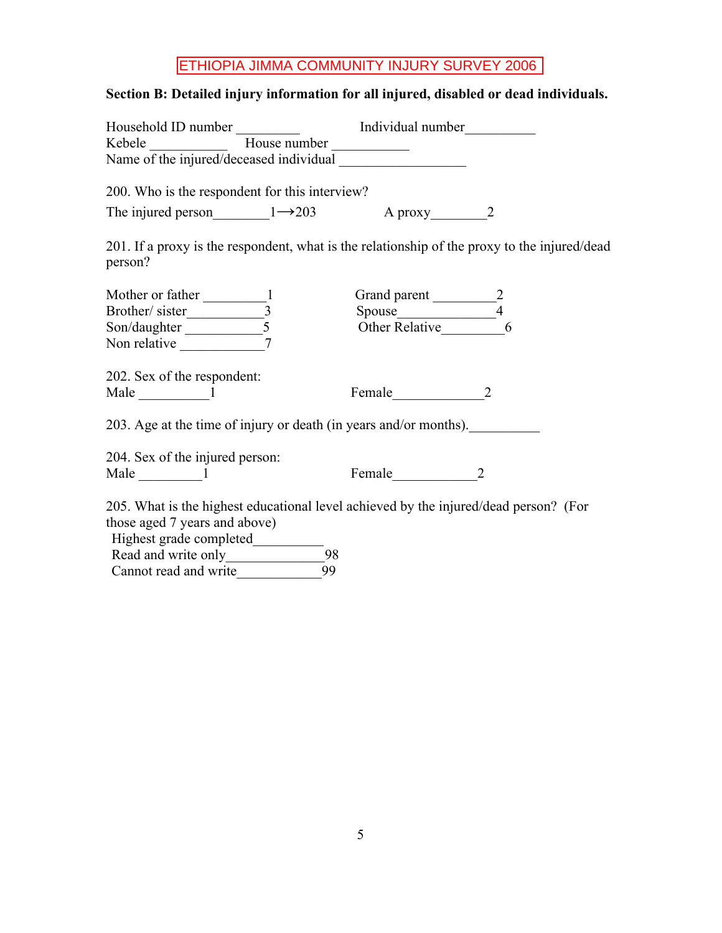# **Section B: Detailed injury information for all injured, disabled or dead individuals.**

| 200. Who is the respondent for this interview?                                                                                                                                                                                                                                                                                                                                                                      |                                                                                              |
|---------------------------------------------------------------------------------------------------------------------------------------------------------------------------------------------------------------------------------------------------------------------------------------------------------------------------------------------------------------------------------------------------------------------|----------------------------------------------------------------------------------------------|
| The injured person $1 \rightarrow 203$ A proxy 2                                                                                                                                                                                                                                                                                                                                                                    |                                                                                              |
| person?                                                                                                                                                                                                                                                                                                                                                                                                             | 201. If a proxy is the respondent, what is the relationship of the proxy to the injured/dead |
| Mother or father 1<br>Brother/sister 1<br>Son/daughter 5                                                                                                                                                                                                                                                                                                                                                            | Grand parent 2<br>Spouse 24<br>Other Relative 6                                              |
|                                                                                                                                                                                                                                                                                                                                                                                                                     |                                                                                              |
|                                                                                                                                                                                                                                                                                                                                                                                                                     |                                                                                              |
|                                                                                                                                                                                                                                                                                                                                                                                                                     |                                                                                              |
| 202. Sex of the respondent:                                                                                                                                                                                                                                                                                                                                                                                         |                                                                                              |
| Male $\frac{1}{\sqrt{1-\frac{1}{1-\frac{1}{1-\frac{1}{1-\frac{1}{1-\frac{1}{1-\frac{1}{1-\frac{1}{1-\frac{1}{1-\frac{1}{1-\frac{1}{1-\frac{1}{1-\frac{1}{1-\frac{1}{1-\frac{1}{1-\frac{1}{1-\frac{1}{1-\frac{1}{1-\frac{1}{1-\frac{1}{1-\frac{1}{1-\frac{1}{1-\frac{1}{1-\frac{1}{1-\frac{1}{1-\frac{1}{1-\frac{1}{1-\frac{1}{1-\frac{1}{1-\frac{1}{1-\frac{1}{1-\frac{1}{1-\frac{1}{1-\frac{1}{1-\frac{1}{1-\frac$ | Female 2                                                                                     |
| 203. Age at the time of injury or death (in years and/or months).                                                                                                                                                                                                                                                                                                                                                   |                                                                                              |
| 204. Sex of the injured person:                                                                                                                                                                                                                                                                                                                                                                                     |                                                                                              |
| Male $\qquad \qquad$ 1                                                                                                                                                                                                                                                                                                                                                                                              |                                                                                              |
|                                                                                                                                                                                                                                                                                                                                                                                                                     | 205. What is the highest educational level achieved by the injured/dead person? (For         |
| those aged 7 years and above)                                                                                                                                                                                                                                                                                                                                                                                       |                                                                                              |
|                                                                                                                                                                                                                                                                                                                                                                                                                     |                                                                                              |
|                                                                                                                                                                                                                                                                                                                                                                                                                     |                                                                                              |
| 99<br>Cannot read and write                                                                                                                                                                                                                                                                                                                                                                                         |                                                                                              |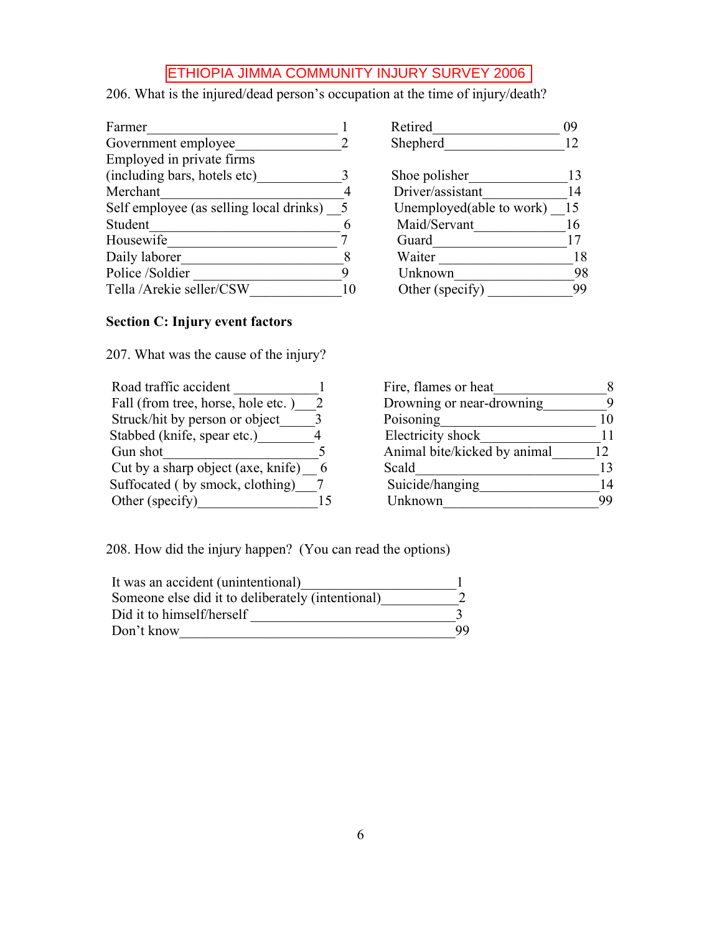206. What is the injured/dead person's occupation at the time of injury/death?

| Farmer                                    |    | Retired                  | 09 |
|-------------------------------------------|----|--------------------------|----|
| Government employee                       |    | Shepherd                 | 12 |
| Employed in private firms                 |    |                          |    |
| (including bars, hotels etc)              |    | Shoe polisher            |    |
| Merchant                                  |    | Driver/assistant         | 14 |
| Self employee (as selling local drinks) 5 |    | Unemployed(able to work) | 15 |
| Student                                   |    | Maid/Servant             | 16 |
| Housewife                                 |    | Guard                    |    |
| Daily laborer                             |    | Waiter                   | 18 |
| Police /Soldier                           |    | Unknown                  | 98 |
| Tella /Arekie seller/CSW                  | 10 | Other (specify)          | 99 |

## **Section C: Injury event factors**

207. What was the cause of the injury?

| Road traffic accident              |   |
|------------------------------------|---|
| Fall (from tree, horse, hole etc.) |   |
| Struck/hit by person or object     | 3 |
| Stabbed (knife, spear etc.)        |   |
| Gun shot                           |   |
| Cut by a sharp object (axe, knife) | h |
| Suffocated (by smock, clothing)    |   |
| Other (specify)                    |   |
|                                    |   |

| Ketıred                  | (19 |
|--------------------------|-----|
| Shepherd                 | 12  |
|                          |     |
| Shoe polisher            | 13  |
| Driver/assistant         | 14  |
| Unemployed(able to work) | 15  |
| Maid/Servant             | 16  |
| Guard                    | 17  |
| Waiter                   | 18  |
| Unknown                  | 98  |
| Other (specify)          |     |
|                          |     |

| Road traffic accident                | Fire, flames or heat         |    |
|--------------------------------------|------------------------------|----|
| Fall (from tree, horse, hole etc.) 2 | Drowning or near-drowning    |    |
| Struck/hit by person or object       | Poisoning                    |    |
| Stabbed (knife, spear etc.)          | Electricity shock            |    |
| Gun shot                             | Animal bite/kicked by animal |    |
| Cut by a sharp object (axe, knife) 6 | Scald                        |    |
| Suffocated (by smock, clothing)      | Suicide/hanging              |    |
| Other (specify)                      | Unknown                      | 99 |
|                                      |                              |    |

208. How did the injury happen? (You can read the options)

| It was an accident (unintentional)                |     |
|---------------------------------------------------|-----|
| Someone else did it to deliberately (intentional) |     |
| Did it to himself/herself                         |     |
| Don't know                                        | QQ. |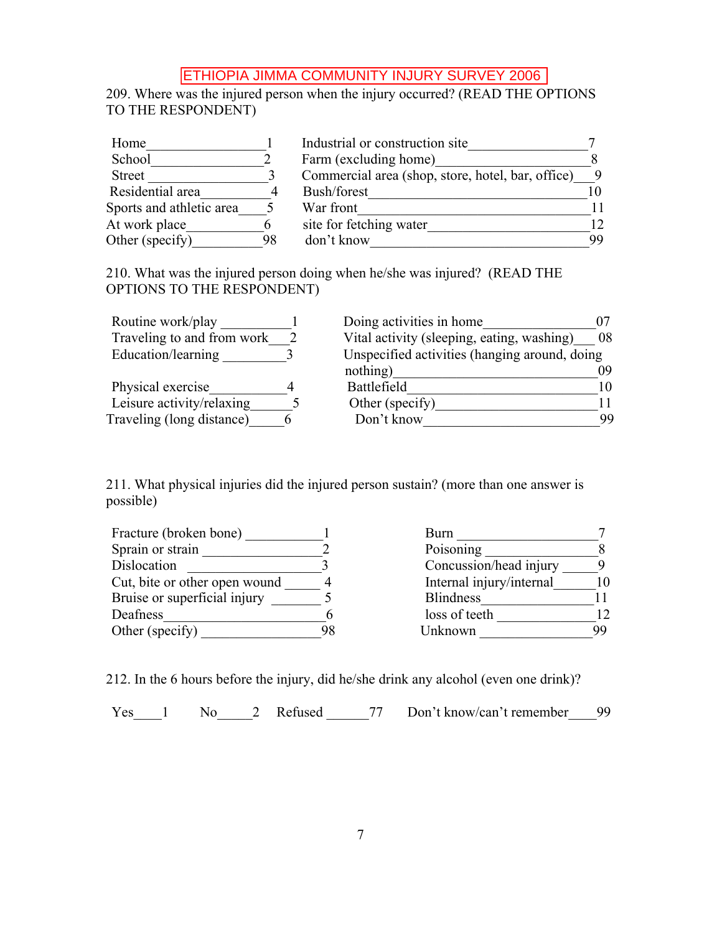209. Where was the injured person when the injury occurred? (READ THE OPTIONS TO THE RESPONDENT)

| Home                     |    | Industrial or construction site                   |                 |
|--------------------------|----|---------------------------------------------------|-----------------|
| School                   |    | Farm (excluding home)                             |                 |
| <b>Street</b>            |    | Commercial area (shop, store, hotel, bar, office) |                 |
| Residential area         |    | Bush/forest                                       |                 |
| Sports and athletic area |    | War front                                         |                 |
| At work place            | h  | site for fetching water                           | 12 <sup>°</sup> |
| Other (specify)          | 98 | don't know                                        | 99              |

210. What was the injured person doing when he/she was injured? (READ THE OPTIONS TO THE RESPONDENT)

| Routine work/play          | Doing activities in home                      |    |
|----------------------------|-----------------------------------------------|----|
| Traveling to and from work | Vital activity (sleeping, eating, washing)    | 08 |
| Education/learning         | Unspecified activities (hanging around, doing |    |
|                            | nothing)                                      | 09 |
| Physical exercise          | Battlefield                                   | 10 |
| Leisure activity/relaxing  | Other (specify)                               |    |
| Traveling (long distance)  | Don't know                                    | 99 |

211. What physical injuries did the injured person sustain? (more than one answer is possible)

| Fracture (broken bone)        |    | Burn                     |    |
|-------------------------------|----|--------------------------|----|
| Sprain or strain              |    | Poisoning                |    |
| Dislocation                   |    | Concussion/head injury   |    |
| Cut, bite or other open wound |    | Internal injury/internal |    |
| Bruise or superficial injury  |    | <b>Blindness</b>         |    |
| Deafness                      |    | loss of teeth            | 12 |
| Other (specify)               | 98 | Unknown                  | 99 |

212. In the 6 hours before the injury, did he/she drink any alcohol (even one drink)?

Yes\_\_\_1 No\_\_\_\_2 Refused 77 Don't know/can't remember 99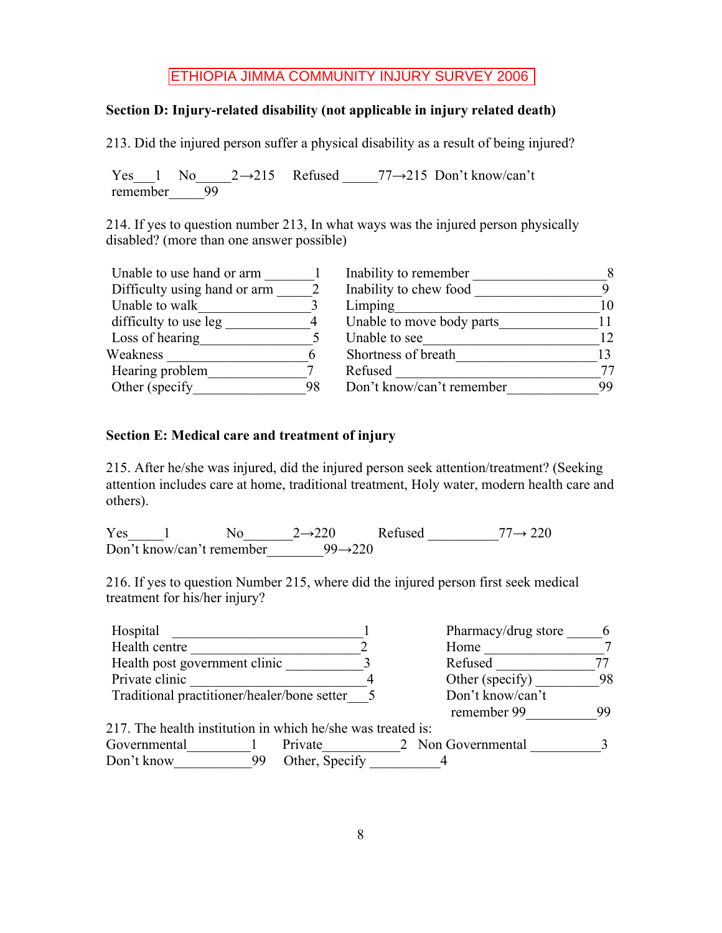### **Section D: Injury-related disability (not applicable in injury related death)**

213. Did the injured person suffer a physical disability as a result of being injured?

Yes 1 No  $2 \rightarrow 215$  Refused  $77 \rightarrow 215$  Don't know/can't remember  $\overline{99}$ 

214. If yes to question number 213, In what ways was the injured person physically disabled? (more than one answer possible)

| Unable to use hand or arm    |    | Inability to remember     | 8               |
|------------------------------|----|---------------------------|-----------------|
| Difficulty using hand or arm |    | Inability to chew food    |                 |
| Unable to walk               |    | Limping                   | 10              |
| difficulty to use leg        |    | Unable to move body parts |                 |
| Loss of hearing              |    | Unable to see             | 12 <sup>°</sup> |
| Weakness                     | h  | Shortness of breath       |                 |
| Hearing problem              |    | Refused                   | 77              |
| Other (specify)              | 98 | Don't know/can't remember | 99              |
|                              |    |                           |                 |

#### **Section E: Medical care and treatment of injury**

215. After he/she was injured, did the injured person seek attention/treatment? (Seeking attention includes care at home, traditional treatment, Holy water, modern health care and others).

 $Yes$  1  $No$   $2 \rightarrow 220$  Refused 77  $\rightarrow 220$ Don't know/can't remember  $99 \rightarrow 220$ 

216. If yes to question Number 215, where did the injured person first seek medical treatment for his/her injury?

| Hospital                                                    |    |                | Pharmacy/drug store | 6  |
|-------------------------------------------------------------|----|----------------|---------------------|----|
| Health centre                                               |    |                | Home                |    |
| Health post government clinic                               |    |                | Refused             |    |
| Private clinic                                              |    |                | Other (specify)     | 98 |
| Traditional practitioner/healer/bone setter                 |    |                | Don't know/can't    |    |
|                                                             |    |                | remember 99         | 99 |
| 217. The health institution in which he/she was treated is: |    |                |                     |    |
| Governmental                                                |    | Private        | 2 Non Governmental  |    |
| Don't know                                                  | 99 | Other, Specify |                     |    |
|                                                             |    |                |                     |    |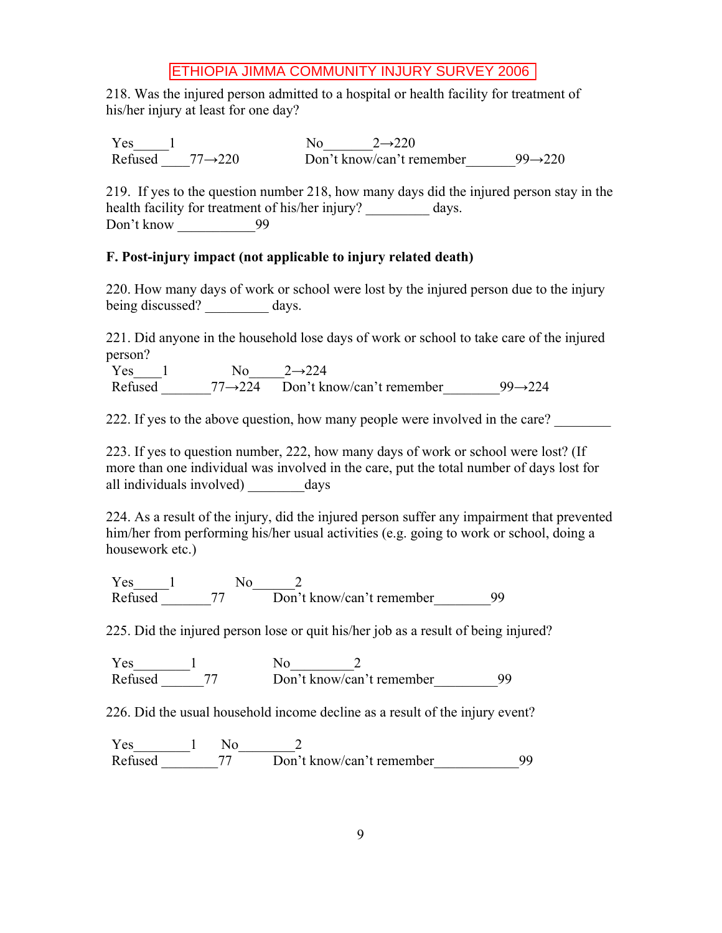218. Was the injured person admitted to a hospital or health facility for treatment of his/her injury at least for one day?

 $Yes$ <sup>1</sup><br>Refused 77 -> 220<br>Don't know/can't re Don't know/can't remember  $99 \rightarrow 220$ 

219. If yes to the question number 218, how many days did the injured person stay in the health facility for treatment of his/her injury? \_\_\_\_\_\_\_\_\_ days. Don't know 99

### **F. Post-injury impact (not applicable to injury related death)**

220. How many days of work or school were lost by the injured person due to the injury being discussed? days.

221. Did anyone in the household lose days of work or school to take care of the injured person?

Yes  $1$  No  $2 \rightarrow 224$ Refused  $77 \rightarrow 224$  Don't know/can't remember 99 $\rightarrow 224$ 

222. If yes to the above question, how many people were involved in the care?

223. If yes to question number, 222, how many days of work or school were lost? (If more than one individual was involved in the care, put the total number of days lost for all individuals involved) days

224. As a result of the injury, did the injured person suffer any impairment that prevented him/her from performing his/her usual activities (e.g. going to work or school, doing a housework etc.)

 $Yes$  1 No 2 Refused 77 Don't know/can't remember 99

225. Did the injured person lose or quit his/her job as a result of being injured?

 $Yes$  1 No 2 Refused 77 Don't know/can't remember 99

226. Did the usual household income decline as a result of the injury event?

Yes\_\_\_\_\_\_\_\_1 No\_\_\_\_\_\_\_\_2 Refused 77 Don't know/can't remember 99